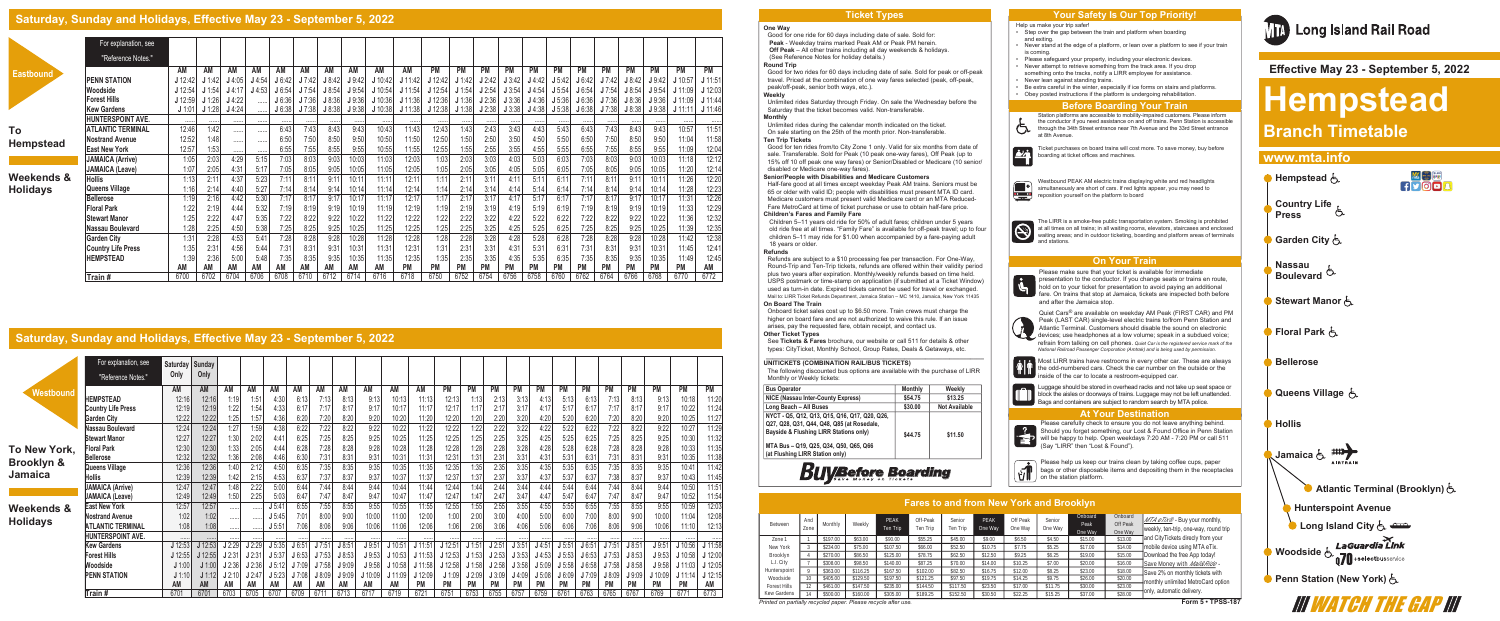#### **One Way**

Good for one ride for 60 days including date of sale. Sold for: **Peak** - Weekday trains marked Peak AM or Peak PM herein.  **Off Peak** – All other trains including all day weekends & holidays. (See Reference Notes for holiday details.) **Round Trip**

Good for two rides for 60 days including date of sale. Sold for peak or off-peak travel. Priced at the combination of one way fares selected (peak, off-peak, peak/off-peak, senior both ways, etc.). **Weekly**

Unlimited rides Saturday through Friday. On sale the Wednesday before the Saturday that the ticket becomes valid. Non-transferable. **Monthly**

Unlimited rides during the calendar month indicated on the ticket. On sale starting on the 25th of the month prior. Non-transferable. **Ten Trip Tickets**

Good for ten rides from/to City Zone 1 only. Valid for six months from date of sale. Transferable. Sold for Peak (10 peak one-way fares), Off Peak (up to 15% off 10 off peak one way fares) or Senior/Disabled or Medicare (10 senior/ disabled or Medicare one-way fares). **Senior/People with Disabilities and Medicare Customers** Half-fare good at all times except weekday Peak AM trains. Seniors must be

65 or older with valid ID; people with disabilities must present MTA ID card. Medicare customers must present valid Medicare card or an MTA Reduced-Fare MetroCard at time of ticket purchase or use to obtain half-fare price. **Children's Fares and Family Fare**

Children 5–11 years old ride for 50% of adult fares; children under 5 years old ride free at all times. "Family Fare" is available for off-peak travel; up to four children 5–11 may ride for \$1.00 when accompanied by a fare-paying adult 18 years or older.

#### **Refunds**

Refunds are subject to a \$10 processing fee per transaction. For One-Way, Round-Trip and Ten-Trip tickets, refunds are offered within their validity period plus two years after expiration. Monthly/weekly refunds based on time held. USPS postmark or time-stamp on application (if submitted at a Ticket Window) used as turn-in date. Expired tickets cannot be used for travel or exchanged. Mail to: LIRR Ticket Refunds Department, Jamaica Station – MC 1410, Jamaica, New York 11435

> Most LIRR trains have restrooms in every other car. These are always the odd-numbered cars. Check the car number on the outside or the inside of the car to locate a restroom-equipped car.

> Luggage should be stored in overhead racks and not take up seat space or block the aisles or doorways of trains. Luggage may not be left unattended. Bags and containers are subject to random search by MTA police.

Help us make your trip safer! Step over the gap between the train and platform when boarding

**On Board The Train**

Onboard ticket sales cost up to \$6.50 more. Train crews must charge the higher on board fare and are not authorized to waive this rule. If an issue arises, pay the requested fare, obtain receipt, and contact us. **Other Ticket Types** 

See **Tickets & Fares** brochure, our website or call 511 for details & other types: CityTicket, Monthly School, Group Rates, Deals & Getaways, etc.

## **\_\_\_\_\_\_\_\_\_\_\_\_\_\_\_\_\_\_\_\_\_\_\_\_\_\_\_\_\_\_\_\_\_\_\_\_\_\_\_\_\_\_\_\_\_\_\_\_\_\_\_\_\_\_\_\_\_\_\_\_\_\_\_ UNITICKETS (COMBINATION RAIL/BUS TICKETS)**

The following discounted bus options are available with the purchase of LIRR

Monthly or Weekly tickets:

#### **Bus Operator**

**NICE (Nassau Inter-County Express) Long Beach – All Buses NYCT - Q5, Q12, Q13, Q15, Q16, Q17, Q20, Q26, Q27, Q28, Q31, Q44, Q48, Q85 (at Ro Bayside & Flushing LIRR Stations on** 

> Please help us keep our trains clean by taking coffee cups, paper бT bags or other disposable items and depositing them in the receptacles on the station platform.



**MTA Bus – Q19, Q25, Q34, Q50, Q65, Q66 (at Flushing LIRR Station only)** 

|                                         | Monthly | Weekly               |
|-----------------------------------------|---------|----------------------|
|                                         | \$54.75 | \$13.25              |
|                                         | \$30.00 | <b>Not Available</b> |
| , Q20, Q26,<br>sedale,<br>nly)<br>. Q66 | \$44.75 | \$11.50              |

# **Buy Before Boarding**

*Printed on partially recycled paper. Please recycle after use.*

Please make sure that your ticket is available for immediate presentation to the conductor. If you change seats or trains en route, hold on to your ticket for presentation to avoid paying an additional fare. On trains that stop at Jamaica, tickets are inspected both before and after the Jamaica stop.

Quiet Cars® are available on weekday AM Peak (FIRST CAR) and PM Peak (LAST CAR) single-level electric trains to/from Penn Station and Atlantic Terminal. Customers should disable the sound on electronic devices; use headphones at a low volume; speak in a subdued voice; refrain from talking on cell phones. *Quiet Car is the registered service mark of the National Railroad Passenger Corporation (Amtrak) and is being used by permission.*

**To Hempste** 

#### **Weekend Holidays**

- and exiting. Never stand at the edge of a platform, or lean over a platform to see if your train is coming.
- Please safeguard your property, including your electronic devices.
- Never attempt to retrieve something from the track area. If you drop something onto the tracks, notify a LIRR employee for assistance.
- Never lean against standing trains.
- Be extra careful in the winter, especially if ice forms on stairs and platforms.
- Obey posted instructions if the platform is undergoing rehabilitation.

Station platforms are accessible to mobility-impaired customers. Please inform the conductor if you need assistance on and off trains. Penn Station is accessible through the 34th Street entrance near 7th Avenue and the 33rd Street entrance at 8th Avenue.

Ticket purchases on board trains will cost more. To save money, buy before boarding at ticket offices and machines.



Westbound PEAK AM electric trains displaying white and red headlights simultaneously are short of cars. If red lights appear, you may need to reposition yourself on the platform to board

The LIRR is a smoke-free public transportation system. Smoking is prohibited  $\bigcirc$ at all times on all trains; in all waiting rooms, elevators, staircases and enclosed waiting areas; and in outdoor ticketing, boarding and platform areas of terminals and stations.

Please carefully check to ensure you do not leave anything behind. Should you forget something, our Lost & Found Office in Penn Station |書 will be happy to help. Open weekdays 7:20 AM - 7:20 PM or call 511 (Say "LIRR" then "Lost & Found").

# **Branch Timetable www.mta.info • Hempstead**  $\overline{\mathcal{F}}$ <mark>。Country Lif</mark>e <sub>占</sub> **Press Garden City** 占 **Nassau Boulevard**<sup>(5)</sup> **Stewart Manor Floral Park** 占 **Bellerose Queens Village** 点 **Hollis** Jamaica & #112 **Atlantic Terminal (Brooklyn)**  $\xi$

**Hunterspoint Avenue Long Island City**  $\xi$ 

<sub>⊥</sub> LaGuardia Link **Woodside & Lawyer Letter Moodside & 11** 

**Penn Station (New York)**  $\zeta$ 



### **Saturday, Sunday and Holidays, Effective May 23 - September 5, 2022**

|      | For explanation, see      |           |           |           |          |        |       |        |       |         |           |           |           |           |           |           |           |           |           |           |           |           |           |
|------|---------------------------|-----------|-----------|-----------|----------|--------|-------|--------|-------|---------|-----------|-----------|-----------|-----------|-----------|-----------|-----------|-----------|-----------|-----------|-----------|-----------|-----------|
|      | "Reference Notes."        |           |           |           |          |        |       |        |       |         |           |           |           |           |           |           |           |           |           |           |           |           |           |
|      |                           | AM        | AM        | AM        | AM       | AM     | AM    | AM     | AM    | AM      | AM        | <b>PM</b> | <b>PM</b> | <b>PM</b> | <b>PM</b> | <b>PM</b> | <b>PM</b> | <b>PM</b> | <b>PM</b> | <b>PM</b> | <b>PM</b> | <b>PM</b> | <b>PM</b> |
|      | <b>PENN STATION</b>       | J 12:42   | J1:42     | J4:05     | $J$ 4:54 | J 6:42 | J7:42 | J 8:42 | J9.42 | J 10:42 | J 11:42   | $J$ 12:42 | J 1:42    | J2:42     | J3:42     | J4:42     | J 5:42    | J6:42     | J7:42     | J 8:42    | J9.42     | J 10:57   | J 11:51   |
|      | Woodside                  | J 12:54   | J 1:54    | $J$ 4:17  | J4:53    | J6.54  | J7:54 | J 8:54 | J9:54 | J 10:54 | J 11:54   | $J$ 12:54 | J 1:54    | J2:54     | J3:54     | $J$ 4:54  | J 5:54    | J6:54     | J7:54     | J 8:54    | J9:54     | $J$ 11:09 | J 12:03   |
|      | <b>Forest Hills</b>       | $J$ 12:59 | J 1:26    | $J$ 4:22  |          | J6:36  | J7:36 | J 8:36 | J9:36 | J 10:36 | J 11:36   | $J$ 12:36 | J 1:36    | J2:36     | J3:36     | J4:36     | J 5:36    | J6:36     | J7:36     | J 8:36    | J9:36     | $J$ 11:09 | J 11:44   |
|      | Kew Gardens               | J 1:01    | J 1:28    | J4:24     |          | J6:38  | J7:38 | J8:38  | J9:38 | J 10:38 | J 11:38   | J 12:38   | J 1:38    | J2:38     | J3:38     | J4:38     | J 5:38    | J6:38     | J7:38     | J 8:38    | J9:38     | J 11:1    | J 11:46   |
|      | <b>HUNTERSPOINT AVE.</b>  |           |           |           |          |        |       |        |       |         |           |           |           |           |           |           |           |           |           |           |           |           |           |
|      | <b>ATLANTIC TERMINAL</b>  | 12:46     | 1:42      |           |          | 6:43   | 7:43  | 8:43   | 9:43  | 10:43   | 11:43     | 12:43     | 1:43      | 2:43      | 3:43      | 4:43      | 5:43      | 6:43      | 7:43      | 8:43      | 9:43      | 10:57     | 11:51     |
| ad؛  | <b>Nostrand Avenue</b>    | 12:52     | 1:48      | 1.1.1.1   | 1.1.1.1  | 6:50   | 7:50  | 8:50   | 9:50  | 10:50   | 11:50     | 12:50     | 1:50      | 2:50      | 3:50      | 4:50      | 5:50      | 6:50      | 7:50      | 8:50      | 9:50      | 11:04     | 11:58     |
|      | <b>East New York</b>      | 12:57     | 1:53      |           |          | 6:55   | 7:55  | 8:55   | 9:55  | 10:55   | 11:55     | 12:55     | 1:55      | 2:55      | 3:55      | 4:55      | 5:55      | 6:55      | 7:55      | 8:55      | 9:55      | 11:09     | 12:04     |
|      | <b>JAMAICA (Arrive)</b>   | 1:05      | 2:03      | 4:29      | 5:15     | 7:03   | 8:03  | 9:03   | 10:03 | 11:03   | 12:03     | 1:03      | 2:03      | 3:03      | 4:03      | 5:03      | 6:03      | 7:03      | 8:03      | 9:03      | 10:03     | 11:18     | 12:12     |
|      | <b>JAMAICA (Leave)</b>    | 1:07      | 2:05      | 4:31      | 5:17     | 7:05   | 8:05  | 9:05   | 10:05 | 11:05   | 12:05     | 1:05      | 2:05      | 3:05      | 4:05      | 5:05      | 6:05      | 7:05      | 8:05      | 9:05      | 10:05     | 11:20     | 12:14     |
| ds & | <b>Hollis</b>             | 1:13      | 2:11      | 4:37      | 5:23     | 7:11   | 8:11  | 9:11   | 10:11 | 11:11   | 12:11     | 1:11      | 2:11      | 3:11      | 4:11      | 5:11      | 6:11      | 7:11      | 8:11      | 9:11      | 10:11     | 11:26     | 12:20     |
|      | Queens Village            | 1:16      | 2:14      | 4:40      | 5:27     | 7:14   | 8:14  | 9:14   | 10:14 | 11:14   | 12:14     | 1:14      | 2:14      | 3:14      | 4:14      | 5:14      | 6:14      | 7:14      | 8:14      | 9:14      | 10:14     | 11:28     | 12:23     |
|      | <b>Bellerose</b>          | 1:19      | 2:16      | 4:42      | 5:30     | 7:17   | 8:17  | 9:17   | 10:17 | 11:17   | 12:17     | 1:17      | 2:17      | 3:17      | 4:17      | 5:17      | 6:17      | 7:17      | 8:17      | 9:17      | 10:17     | 11:31     | 12:26     |
|      | <b>Floral Park</b>        | 1:22      | 2:19      | 4:44      | 5:32     | 7:19   | 8:19  | 9:19   | 10:19 | 11:19   | 12:19     | 1:19      | 2:19      | 3:19      | 4:19      | 5:19      | 6:19      | 7:19      | 8:19      | 9:19      | 10:19     | 11:33     | 12:29     |
|      | <b>Stewart Manor</b>      | 1:25      | 2:22      | 4:47      | 5:35     | 7:22   | 8:22  | 9:22   | 10:22 | 11:22   | 12:22     | 1:22      | 2:22      | 3:22      | 4:22      | 5:22      | 6:22      | 7:22      | 8:22      | 9:22      | 10:22     | 11:36     | 12:32     |
|      | Nassau Boulevard          | 1:28      | 2:25      | 4:50      | 5:38     | 7.25   | 8:25  | 9:25   | 10:25 | 11:25   | 12:25     | 1:25      | 2:25      | 3:25      | 4:25      | 5:25      | 6:25      | 7:25      | 8:25      | 9:25      | 10:25     | 11:39     | 12:35     |
|      | <b>Garden City</b>        | 1:31      | 2:28      | 4:53      | 5:41     | 7:28   | 8:28  | 9:28   | 10:28 | 11:28   | 12:28     | 1:28      | 2:28      | 3:28      | 4:28      | 5:28      | 6:28      | 7:28      | 8:28      | 9:28      | 10:28     | 11:42     | 12:38     |
|      | <b>Country Life Press</b> | 1:35      | 2:31      | 4:56      | 5:44     | 7:31   | 8:31  | 9:31   | 10:31 | 11:31   | 12:31     | 1:31      | 2:31      | 3:31      | 4:31      | 5:31      | 6:31      | 7:31      | 8:31      | 9:31      | 10:31     | 11:45     | 12:41     |
|      | <b>HEMPSTEAD</b>          | 1:39      | 2:36      | 5:00      | 5:48     | 7:35   | 8:35  | 9:35   | 10:35 | 11:35   | 12:35     | 1:35      | 2:35      | 3:35      | 4:35      | 5:35      | 6:35      | 7:35      | 8:35      | 9:35      | 10:35     | 11:49     | 12:45     |
|      |                           | AM        | <b>AM</b> | <b>AM</b> | AM       | AM     | AM    | AM     | AM    | AM      | <b>PM</b> | <b>PM</b> | <b>PM</b> | <b>PM</b> | <b>PM</b> | <b>PM</b> | <b>PM</b> | <b>PM</b> | <b>PM</b> | <b>PM</b> | <b>PM</b> | <b>PM</b> | AM        |
|      | Train #                   | 6700      | 6702      | 6704      | 6706     | 6708   | 6710  | 6712   | 6714  | 6716    | 6718      | 6750      | 6752      | 6754      | 6756      | 6758      | 6760      | 6762      | 6764      | 6766      | 6768      | 6770      | 6772      |

|                                                                |             |          |          |                  | <b>Fares to and from New York and Brooklyn</b> |                    |                 |                     |                   |                            |                                |                                                                                          |
|----------------------------------------------------------------|-------------|----------|----------|------------------|------------------------------------------------|--------------------|-----------------|---------------------|-------------------|----------------------------|--------------------------------|------------------------------------------------------------------------------------------|
| Between                                                        | And<br>Zone | Monthly  | Weekly   | PEAK<br>Ten Trip | Off-Peak<br>Ten Trio                           | Senior<br>Ten Trip | PFAK<br>One Way | Off Peak<br>One Wav | Senior<br>One Way | Onboard<br>Peak<br>One Way | Onboard<br>Off Peak<br>One Way | $MTA$ $eTix^{\circledcirc}$ - Buy your monthly,<br>weekly, ten-trip, one-way, round trip |
| Zone <sup>1</sup>                                              |             | \$197.00 | \$63.00  | \$90.00          | \$55.25                                        | \$45.00            | \$9.00          | \$6.50              | \$4.50            | \$15.00                    | \$13.00                        | and CityTickets direcly from your                                                        |
| New York                                                       |             | \$234.00 | \$75.00  | \$107.50         | \$66.00                                        | \$52.50            | \$10.75         | \$7.75              | \$5.25            | \$17.00                    | \$14.00                        | mobile device using MTA eTix.                                                            |
| Brooklyn                                                       |             | \$270.00 | \$86.50  | \$125.00         | \$78.75                                        | \$62.50            | \$12.50         | \$9.25              | \$6.25            | \$19.00                    | \$15.00                        | Download the free App today!                                                             |
| L.I. City                                                      |             | \$308.00 | \$98.50  | \$140.00         | \$87.25                                        | \$70.00            | \$14.00         | \$10.25             | \$7.00            | \$20.00                    | \$16.00                        | Save Money with Mail&Ride -                                                              |
| Hunterspoint                                                   |             | \$363.00 | \$116.25 | \$167.50         | \$102.00                                       | \$82.50            | \$16.75         | \$12.00             | \$8.25            | \$23.00                    | \$18.00                        | Save 2% on monthly tickets with                                                          |
| Woodside                                                       |             | \$405.00 | \$129.50 | \$197.50         | \$121.25                                       | \$97.50            | \$19.75         | \$14.25             | \$9.75            | \$26.00                    | \$20.00                        | monthly unlimited MetroCard option                                                       |
| Forest Hills                                                   |             | \$461.00 | \$147.50 | \$235.00         | \$144.50                                       | \$117.50           | \$23.50         | \$17.00             | \$11.75           | \$30.00                    | \$23.00                        |                                                                                          |
| Kew Gardens                                                    |             | \$500.00 | \$160.00 | \$305.00         | \$189.25                                       | \$152.50           | \$30.50         | \$22.25             | \$15.25           | \$37.00                    | \$28.00                        | only, automatic delivery.                                                                |
| Printed on partially recycled paper. Please recycle after use. |             |          |          |                  |                                                |                    |                 |                     |                   |                            |                                | Form 5 . TPSS-18                                                                         |

## **Saturday, Sunday and Holidays, Effective May 23 - September 5, 2022**

|                       | For explanation, see<br>"Reference Notes." | Saturday<br>Only | Sunday<br>Only |                   |       |           |       |        |        |         |         |           |           |        |           |           |           |           |           |           |           |           |           |           |
|-----------------------|--------------------------------------------|------------------|----------------|-------------------|-------|-----------|-------|--------|--------|---------|---------|-----------|-----------|--------|-----------|-----------|-----------|-----------|-----------|-----------|-----------|-----------|-----------|-----------|
| Westbound             |                                            | AM               | AM             | AM                | AM    | AM        | AM    | AM     | AM     | AM      | AM      | AM        | <b>PM</b> | PM     | <b>PM</b> | <b>PM</b> | PM        | <b>PM</b> | <b>PM</b> | <b>PM</b> | <b>PM</b> | <b>PM</b> | <b>PM</b> | <b>PM</b> |
|                       | <b>HEMPSTEAD</b>                           | 12:16            | 12:16          | 1:19              | 1:51  | 4:30      | 6:13  | 7:13   | 8:13   | 9:13    | 10:13   | 11:13     | 12:13     | 1:13   | 2:13      | 3:13      | 4:13      | 5:13      | 6:13      | 7:13      | 8:13      | 9:13      | 10:18     | 11:20     |
|                       | <b>Country Life Press</b>                  | 12:19            | 12:19          | 1:22              | 1:54  | 4:33      | 6:17  | 7:17   | 8:17   | 9:17    | 10:17   | 11:17     | 12:17     | 1:17   | 2:17      | 3:17      | 4:17      | 5:17      | 6:17      | 7:17      | 8:17      | 9:17      | 10:22     | 11:24     |
|                       | Garden City                                | 12:22            | 12:22          | 1:25              | 1:57  | 4:36      | 6:20  | 7:20   | 8:20   | 9:20    | 10:20   | 11:20     | 12:20     | 1:20   | 2:20      | 3:20      | 4:20      | 5:20      | 6:20      | 7:20      | 8:20      | 9:20      | 10:25     | 11:27     |
|                       | Nassau Boulevard                           | 12:24            | 12:24          | 1:27              | 1:59  | 4:38      | 6:22  | 7:22   | 8:22   | 9:22    | 10:22   | 11:22     | 12:22     | 1:22   | 2:22      | 3:22      | 4:22      | 5:22      | 6:22      | 7:22      | 8:22      | 9:22      | 10:27     | 11:29     |
|                       | <b>Stewart Manor</b>                       | 12:27            | 12:27          | 1:30 <sub>1</sub> | 2:02  | 4:41      | 6:25  | 7:25   | 8:25   | 9:25    | 10:25   | 11:25     | 12:25     | 1:25   | 2:25      | 3:25      | 4:25      | 5:25      | 6:25      | 7:25      | 8:25      | 9:25      | 10:30     | 11:32     |
| To New York,          | <b>Floral Park</b>                         | 12:30            | 12:30          | 1:33              | 2:05  | 4:44      | 6:28  | 7:28   | 8:28   | 9:28    | 10:28   | 11:28     | 12:28     | 1:28   | 2:28      | 3:28      | 4:28      | 5:28      | 6:28      | 7:28      | 8:28      | 9:28      | 10:33     | 11:35     |
| <b>Brooklyn &amp;</b> | Bellerose                                  | 12:32            | 12:32          | 1:36              | 2:08  | 4:46      | 6:30  | 7:31   | 8:31   | 9:31    | 10:31   | 11:31     | 12:31     | 1:31   | 2:31      | 3:31      | 4:31      | 5:31      | 6:31      | 7:31      | 8:31      | 9:31      | 10:35     | 11:38     |
|                       | Queens Village                             | 12:36            | 12:36          | 1:40              | 2:12  | 4:50      | 6:35  | 7:35   | 8:35   | 9:35    | 10:35   | 11:35     | 12:35     | 1:35   | 2:35      | 3:35      | 4:35      | 5:35      | 6:35      | 7:35      | 8:35      | 9:35      | 10:41     | 11:42     |
| <b>Jamaica</b>        | Hollis                                     | 12:39            | 12:39          | 1:42              | 2:15  | 4:53      | 6:37  | 7:37   | 8:37   | 9:37    | 10:37   | 11:37     | 12:37     | 1:37   | 2:37      | 3:37      | 4:37      | 5:37      | 6:37      | 7:38      | 8:37      | 9:37      | 10:43     | 11:45     |
|                       | <b>JAMAICA (Arrive)</b>                    | 12:47            | 12:47          | 1:48              | 2:22  | 5:00      | 6:44  | 7:44   | 8:44   | 9:44    | 10:44   | 11:44     | 12:44     | 1:44   | 2:44      | 3:44      | 4:44      | 5:44      | 6:44      | 7:44      | 8:44      | 9:44      | 10:50     | 11:51     |
|                       | JAMAICA (Leave)                            | 12:49            | 12:49          | 1:50              | 2:25  | 5:03      | 6:47  | 7:47   | 8:47   | 9:47    | 10:47   | 11:47     | 12:47     | 1:47   | 2:47      | 3:47      | 4:47      | 5:47      | 6:47      | 7:47      | 8:47      | 9:47      | 10:52     | 11:54     |
| Weekends &            | <b>East New York</b>                       | 12:57            | 12:57          |                   |       | J5:41     | 6:55  | 7:55   | 8:55   | 9:55    | 10:55   | 11:55     | 12:55     | 1:55   | 2:55      | 3:55      | 4:55      | 5:55      | 6:55      | 7:55      | 8:55      | 9:55      | 10:59     | 12:03     |
| <b>Holidays</b>       | Nostrand Avenue                            | 1:02             | 1:02           |                   |       | J 5:45    | 7:01  | 8:00   | 9:00   | 10:00   | 11:00   | 12:00     | 1:00      | 2:00   | 3:00      | 4:00      | 5:00      | 6:00      | 7:00      | 8:00      | 9:00      | 10:00     | 11:04     | 12:08     |
|                       | <b>ATLANTIC TERMINAL</b>                   | 1:08             | 1:08           |                   |       | J 5:51    | 7:06  | 8:06   | 9:06   | 10:06   | 11:06   | 12:06     | 1:06      | 2:06   | 3:06      | 4:06      | 5:06      | 6:06      | 7:06      | 8:06      | 9:06      | 10:06     | 11:10     | 12:13     |
|                       | <b>HUNTERSPOINT AVE.</b>                   |                  | 1.1.1.1        |                   |       |           |       |        |        |         |         |           |           |        |           |           |           |           |           |           |           |           |           |           |
|                       | <b>Kew Gardens</b>                         | $J$ 12:53        | J 12:53        | 2:29              | J2:29 | J 5:35    | J6:51 | J7:51  | J 8:51 | J9:5    | J 10:5' | J 11:51   | J 12:51   | J 1:51 | J2:5      | J3:51     | J 4.51    | J 5:51    | J6:51     | J7:51     | J 8:51    | J9:51     | 10:56     | $J$ 11:58 |
|                       | <b>Forest Hills</b>                        | $J$ 12:55        | J 12:55        | 2:31              | J2:31 | J 5:37    | J6:53 | J7:53  | J8:53  | J9:53   | J 10:53 | J 11:53   | $J$ 12:53 | J 1:53 | J2:53     | J3:53     | J4:53     | J 5:53    | J6:53     | J7:53     | J8:53     | J9:53     | J 10:58   | J 12:00   |
|                       | Woodside                                   | J 1:00           | J 1:00         | J2:36             | J2:36 | J 5:12    | J7:09 | J7:58  | J9:09  | J9:58   | J 10:58 | J 11:58   | J 12:58   | J 1:58 | J2:58     | J3:58     | J 5:09    | J 5:58    | J6:58     | J7:58     | J 8:58    | J9:58     | J 11:03   | J 12:05   |
|                       | <b>PENN STATION</b>                        | J 1:10           | J 1:12         | J 2:10            | J2:4  | J 5:23    | J7:08 | J 8:09 | J9:09  | J 10:09 | J 11:09 | J 12:09   | J1:09     | J2:09  | J3:09     | $J$ 4:09  | J 5:08    | J6:09     | J 7:09    | J8:09     | J9:09     | J 10:09   | $J$ 11:14 | $J$ 12:15 |
|                       |                                            | AM               | AM             | AM                | AM    | <b>AM</b> | AM    | AM     | AM     | AM      | AM      | <b>PM</b> | <b>PM</b> | PM     | <b>PM</b> | <b>PM</b> | <b>PM</b> | <b>PM</b> | <b>PM</b> | <b>PM</b> | PM        | <b>PM</b> | PM        | АM        |
|                       | Train#                                     | 6701             | 6701           | 6703              | 6705  | 6707      | 6709  | 6711   | 6713   | 6717    | 6719    | 6721      | 6751      | 6753   | 6755      | 6757      | 6759      | 6761      | 6763      | 6765      | 6767      | 6769      | 677'      | 6773      |

 **Effective May 23 - September 5, 2022**

# **Hempstead**



#### **Ticket Types Your Safety Is Our Top Priority!**

#### **At Your Destination**



#### **Before Boarding Your Train**

#### **On Your Train**